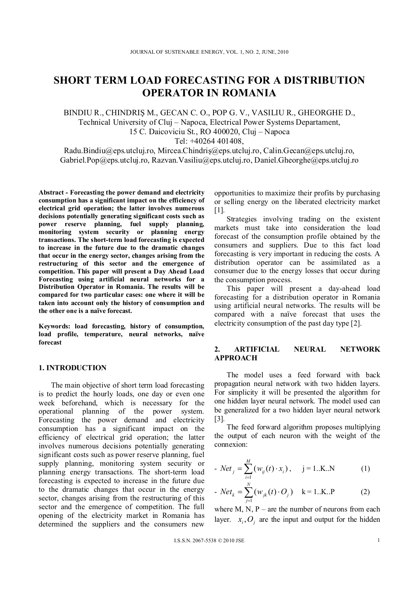# **SHORT TERM LOAD FORECASTING FOR A DISTRIBUTION OPERATOR IN ROMANIA**

BINDIU R., CHINDRIŞ M., GECAN C. O., POP G. V., VASILIU R., GHEORGHE D., Technical University of Cluj – Napoca, Electrical Power Systems Departament, 15 C. Daicoviciu St., RO 400020, Cluj – Napoca

Tel: +40264 401408,

Radu.Bindiu@eps.utcluj.ro, Mircea.Chindriş@eps.utcluj.ro, Calin.Gecan@eps.utcluj.ro, Gabriel.Pop@eps.utcluj.ro, Razvan.Vasiliu@eps.utcluj.ro, Daniel.Gheorghe@eps.utcluj.ro

**Abstract - Forecasting the power demand and electricity consumption has a significant impact on the efficiency of electrical grid operation; the latter involves numerous decisions potentially generating significant costs such as power reserve planning, fuel supply planning, monitoring system security or planning energy transactions. The short-term load forecasting is expected to increase in the future due to the dramatic changes that occur in the energy sector, changes arising from the restructuring of this sector and the emergence of competition. This paper will present a Day Ahead Load Forecasting using artificial neural networks for a Distribution Operator in Romania. The results will be compared for two particular cases: one where it will be taken into account only the history of consumption and the other one is a naïve forecast.** 

**Keywords: load forecasting, history of consumption, load profile, temperature, neural networks, naïve forecast** 

# **1. INTRODUCTION**

The main objective of short term load forecasting is to predict the hourly loads, one day or even one week beforehand, which is necessary for the operational planning of the power system. Forecasting the power demand and electricity consumption has a significant impact on the efficiency of electrical grid operation; the latter involves numerous decisions potentially generating significant costs such as power reserve planning, fuel supply planning, monitoring system security or planning energy transactions. The short-term load forecasting is expected to increase in the future due to the dramatic changes that occur in the energy sector, changes arising from the restructuring of this sector and the emergence of competition. The full opening of the electricity market in Romania has determined the suppliers and the consumers new

opportunities to maximize their profits by purchasing or selling energy on the liberated electricity market [1].

Strategies involving trading on the existent markets must take into consideration the load forecast of the consumption profile obtained by the consumers and suppliers. Due to this fact load forecasting is very important in reducing the costs. A distribution operator can be assimilated as a consumer due to the energy losses that occur during the consumption process.

This paper will present a day-ahead load forecasting for a distribution operator in Romania using artificial neural networks. The results will be compared with a naïve forecast that uses the electricity consumption of the past day type [2].

### **2. ARTIFICIAL NEURAL NETWORK APPROACH**

The model uses a feed forward with back propagation neural network with two hidden layers. For simplicity it will be presented the algorithm for one hidden layer neural network. The model used can be generalized for a two hidden layer neural network [3].

The feed forward algorithm proposes multiplying the output of each neuron with the weight of the connexion:

- 
$$
Net_j = \sum_{i=1}^{M} (w_{ij}(t) \cdot x_i), \quad j = 1..K..N
$$
 (1)

- 
$$
Net_k = \sum_{j=1}^{N} (w_{jk}(t) \cdot O_j)
$$
 k = 1..K..P (2)

where  $M$ ,  $N$ ,  $P$  – are the number of neurons from each layer.  $x_i$ ,  $O_i$  are the input and output for the hidden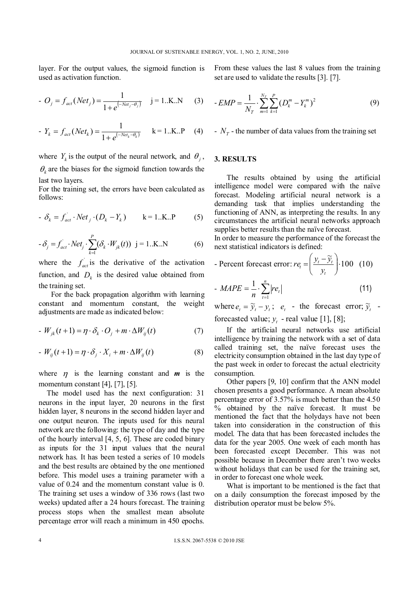layer. For the output values, the sigmoid function is used as activation function.

- 
$$
O_j = f_{act}(Net_j) = \frac{1}{1 + e^{(-Net_j - \theta_j)}} \quad j = 1..K..N
$$
 (3)

- 
$$
Y_k = f_{act}(Net_k) = \frac{1}{1 + e^{(-Net_k - \theta_k)}}
$$
 k = 1..K..P (4)

where  $Y_k$  is the output of the neural network, and  $\theta_i$ ,  $heta_k$  are the biases for the sigmoid function towards the last two layers.

For the training set, the errors have been calculated as follows:

$$
- \delta_k = f_{act} \cdot Net_j \cdot (D_k - Y_k) \qquad k = 1..K..P \qquad (5)
$$

$$
- \delta_j = f_{act} \cdot Net_j \cdot \sum_{k=1}^P (\delta_k \cdot W_{jk}(t)) \quad j = 1..K..N \tag{6}
$$

where the  $f_{act}$  is the derivative of the activation function, and  $D_k$  is the desired value obtained from the training set.

For the back propagation algorithm with learning constant and momentum constant, the weight adjustments are made as indicated below:

$$
-W_{jk}(t+1) = \eta \cdot \delta_k \cdot O_j + m \cdot \Delta W_{ij}(t) \tag{7}
$$

$$
W_{ij}(t+1) = \eta \cdot \delta_j \cdot X_i + m \cdot \Delta W_{ij}(t)
$$
 (8)

where  $\eta$  is the learning constant and  $m$  is the momentum constant [4], [7], [5].

The model used has the next configuration: 31 neurons in the input layer, 20 neurons in the first hidden layer, 8 neurons in the second hidden layer and one output neuron. The inputs used for this neural network are the following: the type of day and the type of the hourly interval [4, 5, 6]. These are coded binary as inputs for the 31 input values that the neural network has. It has been tested a series of 10 models and the best results are obtained by the one mentioned before. This model uses a training parameter with a value of 0.24 and the momentum constant value is 0. The training set uses a window of 336 rows (last two weeks) updated after a 24 hours forecast. The training process stops when the smallest mean absolute percentage error will reach a minimum in 450 epochs. From these values the last 8 values from the training set are used to validate the results [3]. [7].

$$
-EMP = \frac{1}{N_T} \cdot \sum_{m=1}^{N_T} \sum_{k=1}^{P} (D_k^m - Y_k^m)^2
$$
 (9)

 $N_T$  - the number of data values from the training set

# **3. RESULTS**

The results obtained by using the artificial intelligence model were compared with the naïve forecast. Modeling artificial neural network is a demanding task that implies understanding the functioning of ANN, as interpreting the results. In any circumstances the artificial neural networks approach supplies better results than the naïve forecast.

In order to measure the performance of the forecast the next statistical indicators is defined:

- Percent forecast error: 
$$
re_t = \left(\frac{y_t - \widetilde{y}_t}{y_t}\right) \cdot 100
$$
 (10)

$$
- MAPE = \frac{1}{n} \cdot \sum_{t=1}^{n} |re_t|
$$
 (11)

where  $e_t = \tilde{y}_t - y_t$ ;  $e_t$  - the forecast error;  $\tilde{y}_t$  forecasted value;  $y_t$  - real value [1], [8];

If the artificial neural networks use artificial intelligence by training the network with a set of data called training set, the naïve forecast uses the electricity consumption obtained in the last day type of the past week in order to forecast the actual electricity consumption.

Other papers [9, 10] confirm that the ANN model chosen presents a good performance. A mean absolute percentage error of 3.57% is much better than the 4.50 % obtained by the naïve forecast. It must be mentioned the fact that the holydays have not been taken into consideration in the construction of this model. The data that has been forecasted includes the data for the year 2005. One week of each month has been forecasted except December. This was not possible because in December there aren't two weeks without holidays that can be used for the training set, in order to forecast one whole week.

What is important to be mentioned is the fact that on a daily consumption the forecast imposed by the distribution operator must be below 5%.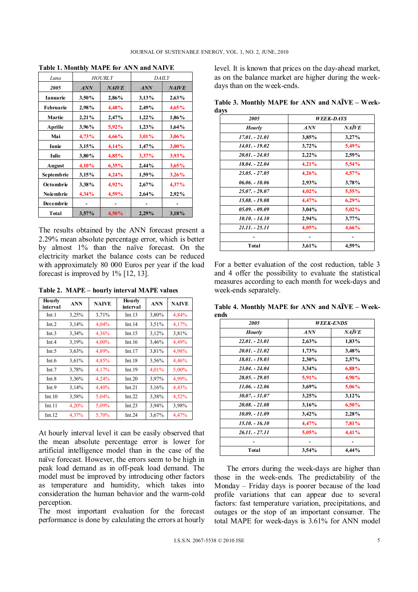| Luna             | <b>HOURLY</b> |              | <i>DAILY</i> |              |
|------------------|---------------|--------------|--------------|--------------|
| 2005             | <b>ANN</b>    | <b>NAIVE</b> | ANN          | <b>NAIVE</b> |
| Ianuarie         | 3,50%         | 2,86%        | 3,13%        | 2,63%        |
| <b>Februarie</b> | 2,98%         | 4,48%        | 2,49%        | 4,65%        |
| Martie           | 2,21%         | 2,47%        | $1,22\%$     | 1,86%        |
| Aprilie          | 3,96%         | $5,92\%$     | $1,23\%$     | 1,64%        |
| Mai              | 4,73%         | $4,66\%$     | 3,01%        | 3,06%        |
| Iunie            | 3,15%         | 4,14%        | 1,47%        | $3,00\%$     |
| Iulie            | 3,80%         | 4,85%        | $3,37\%$     | 3.93%        |
| August           | 4,10%         | $6,35\%$     | 2,44%        | 3,65%        |
| Septembrie       | 3,15%         | 4,24%        | 1,59%        | 3,26%        |
| Octombrie        | 3,38%         | $4,92\%$     | 2,67%        | 4,37%        |
| <b>Noiembrie</b> | 4,34%         | 4,59%        | 2,64%        | 2.92%        |
| Decembrie        |               |              |              |              |
| Total            | $3,57\%$      | 4,50%        | 2,29%        | 3,18%        |

**Table 1. Monthly MAPE for ANN and NAIVE** 

The results obtained by the ANN forecast present a 2.29% mean absolute percentage error, which is better by almost 1% than the naïve forecast. On the electricity market the balance costs can be reduced with approximately 80 000 Euros per year if the load forecast is improved by 1% [12, 13].

**Table 2. MAPE – hourly interval MAPE values** 

| Hourly<br>interval | <b>ANN</b> | <b>NAIVE</b> | Hourly<br>interval | <b>ANN</b> | <b>NAIVE</b> |
|--------------------|------------|--------------|--------------------|------------|--------------|
| Int.1              | 3,25%      | 3,71%        | Int.13             | 3,80%      | 4,84%        |
| Int.2              | 3,14%      | 4,04%        | Int.14             | 3.51%      | 4,17%        |
| Int.3              | 3,34%      | 4,36%        | Int.15             | 3,12%      | 3,81%        |
| Int.4              | 3,19%      | 4,00%        | Int.16             | 3.46%      | 4,49%        |
| Int.5              | 3,63%      | 4,89%        | Int.17             | 3,81%      | 4,98%        |
| Int.6              | 3,61%      | 4,85%        | Int.18             | 3.56%      | 4,46%        |
| Int.7              | 3,78%      | 4,17%        | Int.19             | 4,01%      | 5,00%        |
| Int.8              | 3,36%      | 4,24%        | Int.20             | 3,97%      | 4,99%        |
| Int.9              | 3,14%      | 4,40%        | Int.21             | 3,16%      | 4,43%        |
| Int.10             | 3,58%      | 5,04%        | Int.22             | 3,38%      | 4,52%        |
| Int.11             | 4,20%      | 5,09%        | Int. $23$          | 3,94%      | 3,98%        |
| Int.12             | 4,37%      | 5,70%        | Int.24             | 3.67%      | 4,47%        |

At hourly interval level it can be easily observed that the mean absolute percentage error is lower for artificial intelligence model than in the case of the naïve forecast. However, the errors seem to be high in peak load demand as in off-peak load demand. The model must be improved by introducing other factors as temperature and humidity, which takes into consideration the human behavior and the warm-cold perception.

The most important evaluation for the forecast performance is done by calculating the errors at hourly

level. It is known that prices on the day-ahead market, as on the balance market are higher during the weekdays than on the week-ends.

**Table 3. Monthly MAPE for ANN and NAÏVE – Weekdays** 

| 2005             | <i><b>WEEK-DAYS</b></i> |              |
|------------------|-------------------------|--------------|
| <b>Hourly</b>    | ANN                     | <b>NAÏVE</b> |
| 17.01. - 21.01   | 3,85%                   | 3,27%        |
| 14.01. - 19.02   | 3,72%                   | 5,49%        |
| $20.01 - 24.03$  | 2,22%                   | 2,59%        |
| 18.04. - 22.04   | 4,21%                   | 5,54%        |
| $23.05 - 27.05$  | 4,26%                   | 4,57%        |
| $06.06. - 10.06$ | 2,93%                   | 3,78%        |
| $25.07 - 29.07$  | 4,02%                   | 5,55%        |
| 15.08. - 19.08   | 4,47%                   | $6,29\%$     |
| $05.09. - 09.09$ | 3,04%                   | 5,02%        |
| $10.10 - 14.10$  | 2,94%                   | $3,77\%$     |
| $21.11 - 25.11$  | 4,05%                   | 4,66%        |
|                  |                         |              |
| Total            | 3,61%                   | 4,59%        |

For a better evaluation of the cost reduction, table 3 and 4 offer the possibility to evaluate the statistical measures according to each month for week-days and week-ends separately.

**Table 4. Monthly MAPE for ANN and NAÏVE – Weekends** 

| 2005             | <b>WEEK-ENDS</b> |              |
|------------------|------------------|--------------|
| <b>Hourly</b>    | ANN              | <b>NAÏVE</b> |
| $22.01 - 23.01$  | 2,63%            | 1,83%        |
| $20.01 - 21.02$  | 1,73%            | 3,48%        |
| 18.01. - 19.03   | 2,30%            | 2,57%        |
| $23.04 - 24.04$  | 3,34%            | 6,88%        |
| $28.05. - 29.05$ | 5,91%            | 4,90%        |
| 11.06. - 12.06   | 3,69%            | 5,06%        |
| $30.07 - 31.07$  | 3,25%            | 3,12%        |
| $20.08. - 21.08$ | 3,16%            | 6,50%        |
| 10.09. - 11.09   | 3,42%            | 2,28%        |
| 15.10. - 16.10   | 4,47%            | 7,81%        |
| $26.11 - 27.11$  | 5,05%            | 4,41%        |
|                  |                  |              |
| Total            | 3,54%            | 4,44%        |

The errors during the week-days are higher than those in the week-ends. The predictability of the Monday – Friday days is poorer because of the load profile variations that can appear due to several factors: fast temperature variation, precipitations, and outages or the stop of an important consumer. The total MAPE for week-days is 3.61% for ANN model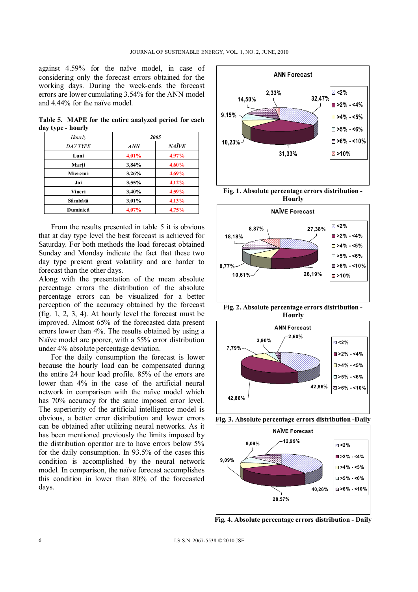against 4.59% for the naïve model, in case of considering only the forecast errors obtained for the working days. During the week-ends the forecast errors are lower cumulating 3.54% for the ANN model and 4.44% for the naïve model.

**Table 5. MAPE for the entire analyzed period for each day type - hourly** 

| Hourly   | 2005  |              |
|----------|-------|--------------|
| DAY TYPE | ANN   | <b>NAÏVE</b> |
| Luni     | 4,01% | 4.97%        |
| Marti    | 3,84% | 4,60%        |
| Miercuri | 3,26% | 4,69%        |
| Joi      | 3,55% | 4,12%        |
| Vineri   | 3,40% | 4,59%        |
| Sâmbătă  | 3,01% | 4,13%        |
| Duminică | 4,07% | 4,75%        |

From the results presented in table 5 it is obvious that at day type level the best forecast is achieved for Saturday. For both methods the load forecast obtained Sunday and Monday indicate the fact that these two day type present great volatility and are harder to forecast than the other days.

Along with the presentation of the mean absolute percentage errors the distribution of the absolute percentage errors can be visualized for a better perception of the accuracy obtained by the forecast (fig. 1, 2, 3, 4). At hourly level the forecast must be improved. Almost 65% of the forecasted data present errors lower than 4%. The results obtained by using a Naïve model are poorer, with a 55% error distribution under 4% absolute percentage deviation.

For the daily consumption the forecast is lower because the hourly load can be compensated during the entire 24 hour load profile. 85% of the errors are lower than 4% in the case of the artificial neural network in comparison with the naïve model which has 70% accuracy for the same imposed error level. The superiority of the artificial intelligence model is obvious, a better error distribution and lower errors can be obtained after utilizing neural networks. As it has been mentioned previously the limits imposed by the distribution operator are to have errors below 5% for the daily consumption. In 93.5% of the cases this condition is accomplished by the neural network model. In comparison, the naïve forecast accomplishes this condition in lower than 80% of the forecasted days.







**Fig. 2. Absolute percentage errors distribution - Hourly**







**Fig. 4. Absolute percentage errors distribution - Daily**